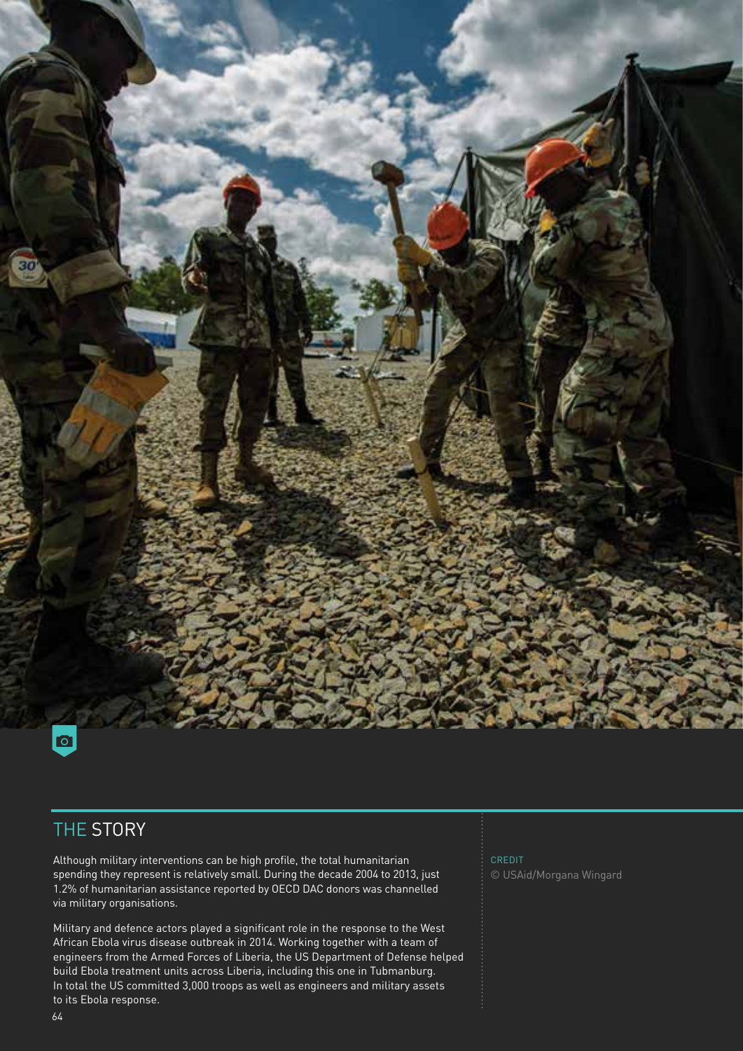

### THE STORY

Although military interventions can be high profile, the total humanitarian spending they represent is relatively small. During the decade 2004 to 2013, just 1.2% of humanitarian assistance reported by OECD DAC donors was channelled via military organisations.

Military and defence actors played a significant role in the response to the West African Ebola virus disease outbreak in 2014. Working together with a team of engineers from the Armed Forces of Liberia, the US Department of Defense helped build Ebola treatment units across Liberia, including this one in Tubmanburg. In total the US committed 3,000 troops as well as engineers and military assets to its Ebola response.

CREDIT © USAid/Morgana Wingard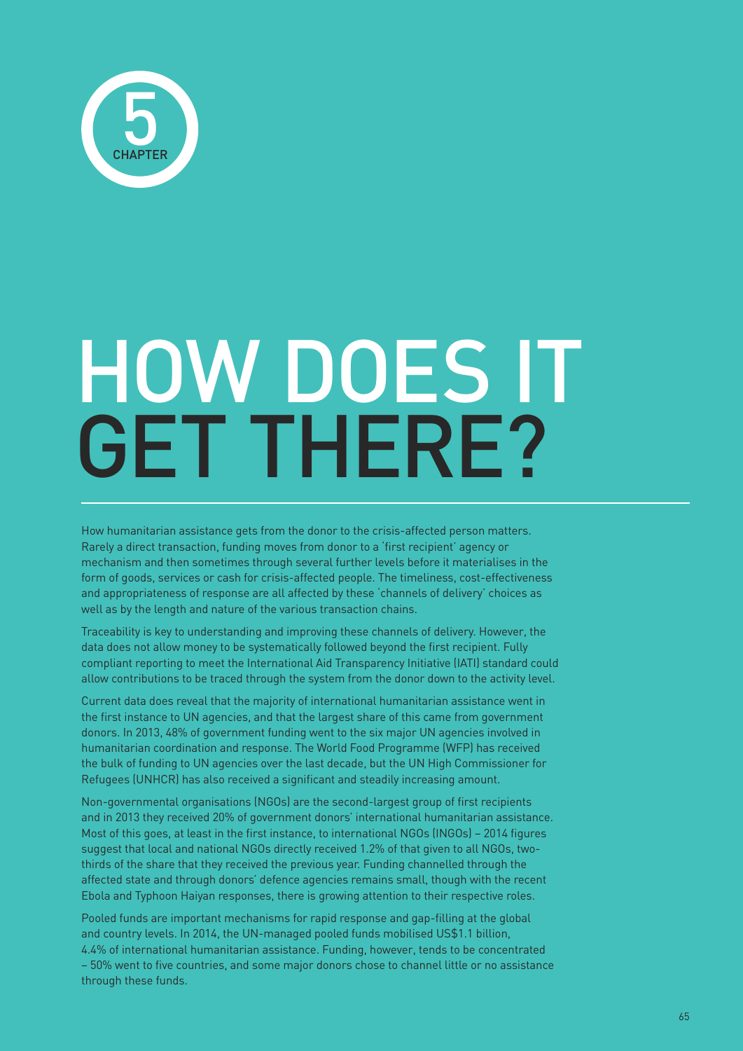

# HOW DOES IT GET THERE?

How humanitarian assistance gets from the donor to the crisis-affected person matters. Rarely a direct transaction, funding moves from donor to a 'first recipient' agency or mechanism and then sometimes through several further levels before it materialises in the form of goods, services or cash for crisis-affected people. The timeliness, cost-effectiveness and appropriateness of response are all affected by these 'channels of delivery' choices as well as by the length and nature of the various transaction chains.

Traceability is key to understanding and improving these channels of delivery. However, the data does not allow money to be systematically followed beyond the first recipient. Fully compliant reporting to meet the International Aid Transparency Initiative (IATI) standard could allow contributions to be traced through the system from the donor down to the activity level.

Current data does reveal that the majority of international humanitarian assistance went in the first instance to UN agencies, and that the largest share of this came from government donors. In 2013, 48% of government funding went to the six major UN agencies involved in humanitarian coordination and response. The World Food Programme (WFP) has received the bulk of funding to UN agencies over the last decade, but the UN High Commissioner for Refugees (UNHCR) has also received a significant and steadily increasing amount.

Non-governmental organisations (NGOs) are the second-largest group of first recipients and in 2013 they received 20% of government donors' international humanitarian assistance. Most of this goes, at least in the first instance, to international NGOs (INGOs) – 2014 figures suggest that local and national NGOs directly received 1.2% of that given to all NGOs, twothirds of the share that they received the previous year. Funding channelled through the affected state and through donors' defence agencies remains small, though with the recent Ebola and Typhoon Haiyan responses, there is growing attention to their respective roles.

Pooled funds are important mechanisms for rapid response and gap-filling at the global and country levels. In 2014, the UN-managed pooled funds mobilised US\$1.1 billion, 4.4% of international humanitarian assistance. Funding, however, tends to be concentrated – 50% went to five countries, and some major donors chose to channel little or no assistance through these funds.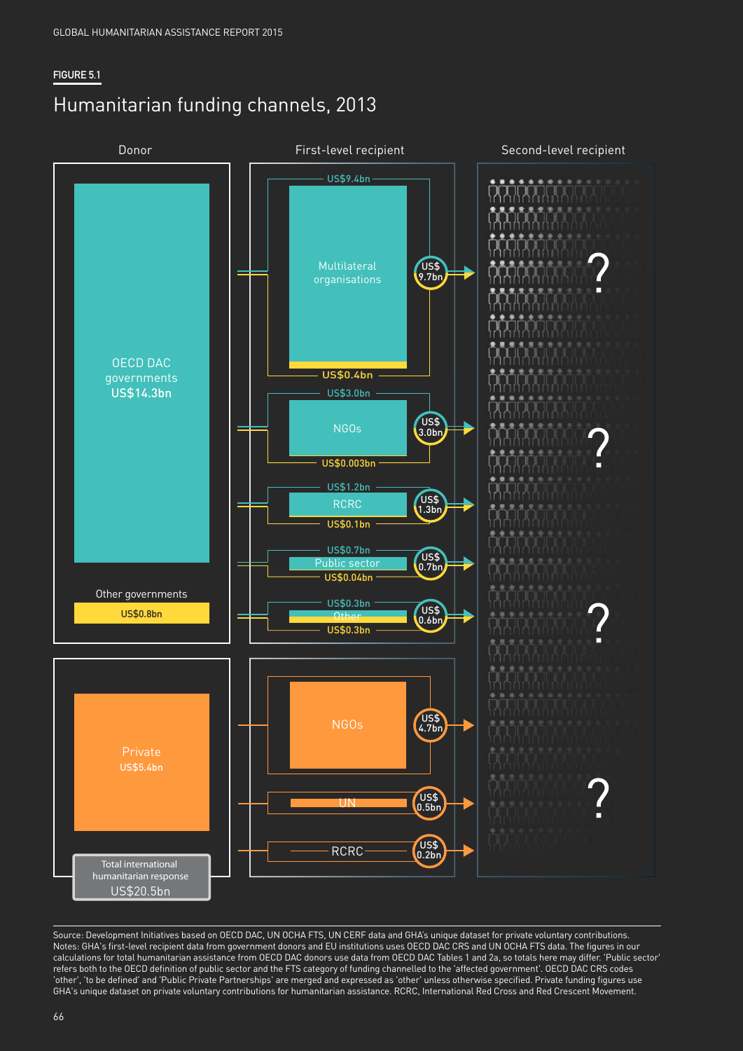#### **FIGURE 5.1**

## Humanitarian funding channels, 2013



Source: Development Initiatives based on OECD DAC, UN OCHA FTS, UN CERF data and GHA's unique dataset for private voluntary contributions. Notes: GHA's first-level recipient data from government donors and EU institutions uses OECD DAC CRS and UN OCHA FTS data. The figures in our calculations for total humanitarian assistance from OECD DAC donors use data from OECD DAC Tables 1 and 2a, so totals here may differ. 'Public sector' refers both to the OECD definition of public sector and the FTS category of funding channelled to the 'affected government'. OECD DAC CRS codes 'other', 'to be defined' and 'Public Private Partnerships' are merged and expressed as 'other' unless otherwise specified. Private funding figures use GHA's unique dataset on private voluntary contributions for humanitarian assistance. RCRC, International Red Cross and Red Crescent Movement.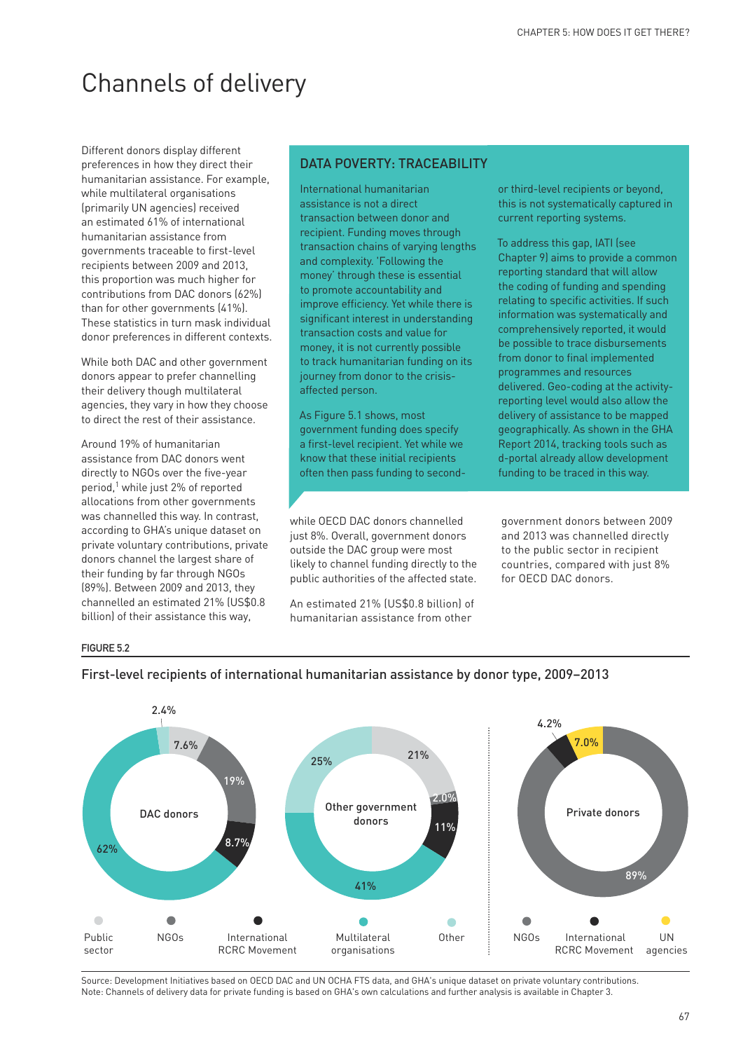## Channels of delivery

Different donors display different preferences in how they direct their humanitarian assistance. For example, while multilateral organisations (primarily UN agencies) received an estimated 61% of international humanitarian assistance from governments traceable to first-level recipients between 2009 and 2013, this proportion was much higher for contributions from DAC donors (62%) than for other governments (41%). These statistics in turn mask individual donor preferences in different contexts.

While both DAC and other government donors appear to prefer channelling their delivery though multilateral agencies, they vary in how they choose to direct the rest of their assistance.

Around 19% of humanitarian assistance from DAC donors went directly to NGOs over the five-year period,<sup>1</sup> while just 2% of reported allocations from other governments was channelled this way. In contrast, according to GHA's unique dataset on private voluntary contributions, private donors channel the largest share of their funding by far through NGOs (89%). Between 2009 and 2013, they channelled an estimated 21% (US\$0.8 billion) of their assistance this way,

#### DATA POVERTY: TRACEABILITY

International humanitarian assistance is not a direct transaction between donor and recipient. Funding moves through transaction chains of varying lengths and complexity. 'Following the money' through these is essential to promote accountability and improve efficiency. Yet while there is significant interest in understanding transaction costs and value for money, it is not currently possible to track humanitarian funding on its journey from donor to the crisisaffected person.

As Figure 5.1 shows, most government funding does specify a first-level recipient. Yet while we know that these initial recipients often then pass funding to second-

while OECD DAC donors channelled just 8%. Overall, government donors outside the DAC group were most likely to channel funding directly to the public authorities of the affected state.

An estimated 21% (US\$0.8 billion) of humanitarian assistance from other

or third-level recipients or beyond, this is not systematically captured in current reporting systems.

To address this gap, IATI (see Chapter 9) aims to provide a common reporting standard that will allow the coding of funding and spending relating to specific activities. If such information was systematically and comprehensively reported, it would be possible to trace disbursements from donor to final implemented programmes and resources delivered. Geo-coding at the activityreporting level would also allow the delivery of assistance to be mapped geographically. As shown in the GHA Report 2014, tracking tools such as d-portal already allow development funding to be traced in this way.

government donors between 2009 and 2013 was channelled directly to the public sector in recipient countries, compared with just 8% for OECD DAC donors.

#### **FIGURE 5.2**



#### First-level recipients of international humanitarian assistance by donor type, 2009−2013

Source: Development Initiatives based on OECD DAC and UN OCHA FTS data, and GHA's unique dataset on private voluntary contributions. Note: Channels of delivery data for private funding is based on GHA's own calculations and further analysis is available in Chapter 3.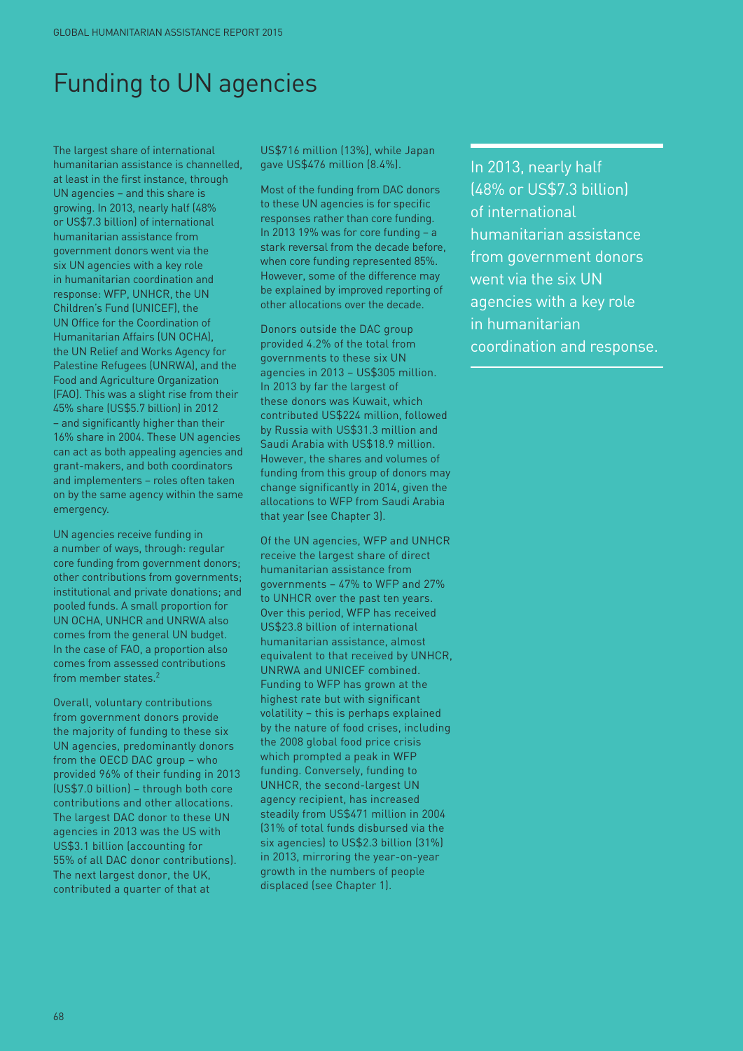## Funding to UN agencies

The largest share of international humanitarian assistance is channelled, at least in the first instance, through UN agencies – and this share is growing. In 2013, nearly half (48% or US\$7.3 billion) of international humanitarian assistance from government donors went via the six UN agencies with a key role in humanitarian coordination and response: WFP, UNHCR, the UN Children's Fund (UNICEF), the UN Office for the Coordination of Humanitarian Affairs (UN OCHA), the UN Relief and Works Agency for Palestine Refugees (UNRWA), and the Food and Agriculture Organization (FAO). This was a slight rise from their 45% share (US\$5.7 billion) in 2012 – and significantly higher than their 16% share in 2004. These UN agencies can act as both appealing agencies and grant-makers, and both coordinators and implementers – roles often taken on by the same agency within the same emergency.

UN agencies receive funding in a number of ways, through: regular core funding from government donors; other contributions from governments; institutional and private donations; and pooled funds. A small proportion for UN OCHA, UNHCR and UNRWA also comes from the general UN budget. In the case of FAO, a proportion also comes from assessed contributions from member states.2

Overall, voluntary contributions from government donors provide the majority of funding to these six UN agencies, predominantly donors from the OECD DAC group – who provided 96% of their funding in 2013 (US\$7.0 billion) – through both core contributions and other allocations. The largest DAC donor to these UN agencies in 2013 was the US with US\$3.1 billion (accounting for 55% of all DAC donor contributions). The next largest donor, the UK, contributed a quarter of that at

US\$716 million (13%), while Japan gave US\$476 million (8.4%).

Most of the funding from DAC donors to these UN agencies is for specific responses rather than core funding. In 2013 19% was for core funding – a stark reversal from the decade before, when core funding represented 85%. However, some of the difference may be explained by improved reporting of other allocations over the decade.

Donors outside the DAC group provided 4.2% of the total from governments to these six UN agencies in 2013 – US\$305 million. In 2013 by far the largest of these donors was Kuwait, which contributed US\$224 million, followed by Russia with US\$31.3 million and Saudi Arabia with US\$18.9 million. However, the shares and volumes of funding from this group of donors may change significantly in 2014, given the allocations to WFP from Saudi Arabia that year (see Chapter 3).

Of the UN agencies, WFP and UNHCR receive the largest share of direct humanitarian assistance from governments – 47% to WFP and 27% to UNHCR over the past ten years. Over this period, WFP has received US\$23.8 billion of international humanitarian assistance, almost equivalent to that received by UNHCR, UNRWA and UNICEF combined. Funding to WFP has grown at the highest rate but with significant volatility – this is perhaps explained by the nature of food crises, including the 2008 global food price crisis which prompted a peak in WFP funding. Conversely, funding to UNHCR, the second-largest UN agency recipient, has increased steadily from US\$471 million in 2004 (31% of total funds disbursed via the six agencies) to US\$2.3 billion (31%) in 2013, mirroring the year-on-year growth in the numbers of people displaced (see Chapter 1).

In 2013, nearly half (48% or US\$7.3 billion) of international humanitarian assistance from government donors went via the six UN agencies with a key role in humanitarian coordination and response.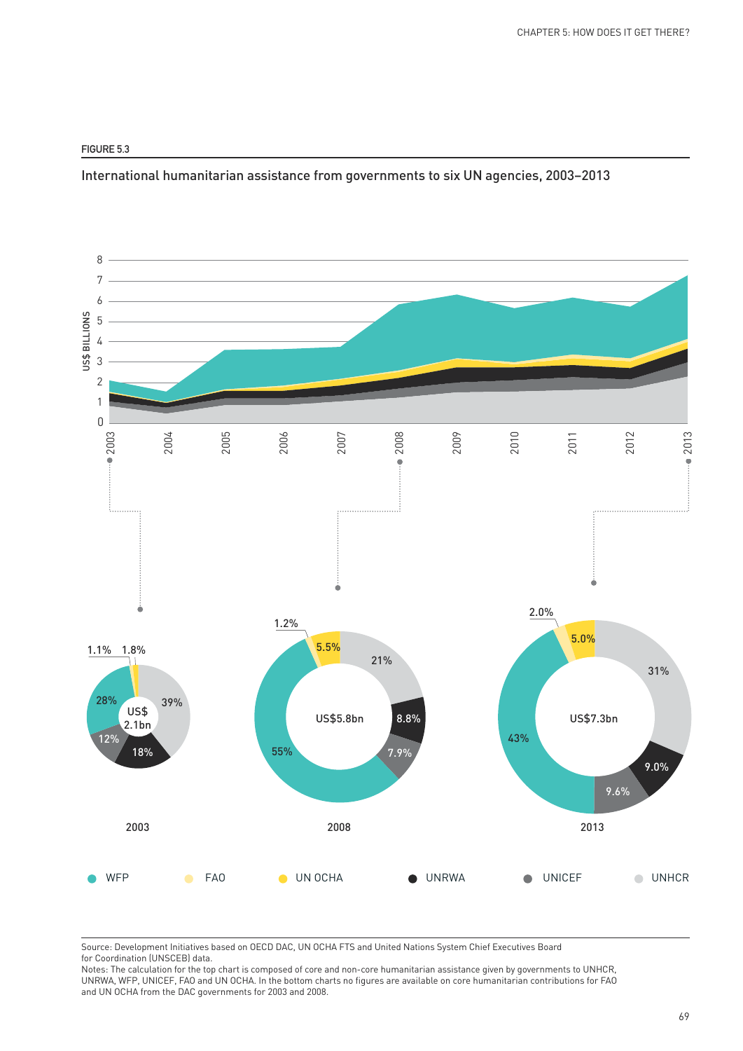#### **FIGURE 5.3**

International humanitarian assistance from governments to six UN agencies, 2003–2013



Source: Development Initiatives based on OECD DAC, UN OCHA FTS and United Nations System Chief Executives Board for Coordination (UNSCEB) data.

Notes: The calculation for the top chart is composed of core and non-core humanitarian assistance given by governments to UNHCR, UNRWA, WFP, UNICEF, FAO and UN OCHA. In the bottom charts no figures are available on core humanitarian contributions for FAO and UN OCHA from the DAC governments for 2003 and 2008.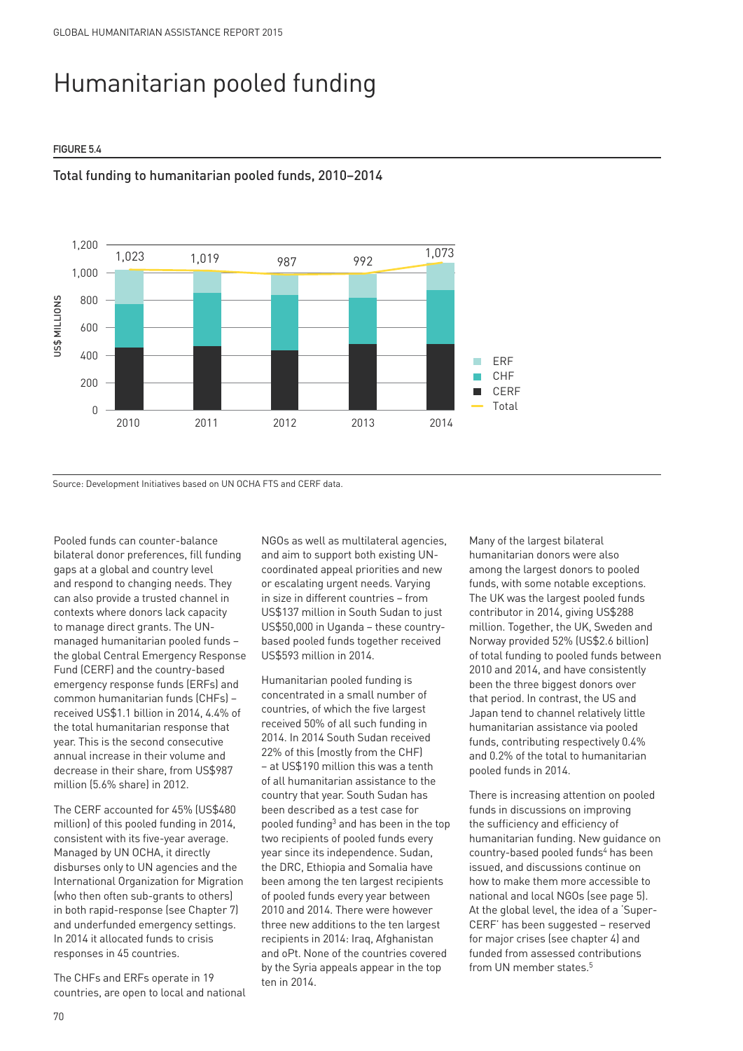# Humanitarian pooled funding

#### **FIGURE 5.4**



#### Total funding to humanitarian pooled funds, 2010−2014

Source: Development Initiatives based on UN OCHA FTS and CERF data.

Pooled funds can counter-balance bilateral donor preferences, fill funding gaps at a global and country level and respond to changing needs. They can also provide a trusted channel in contexts where donors lack capacity to manage direct grants. The UNmanaged humanitarian pooled funds – the global Central Emergency Response Fund (CERF) and the country-based emergency response funds (ERFs) and common humanitarian funds (CHFs) – received US\$1.1 billion in 2014, 4.4% of the total humanitarian response that year. This is the second consecutive annual increase in their volume and decrease in their share, from US\$987 million (5.6% share) in 2012.

The CERF accounted for 45% (US\$480 million) of this pooled funding in 2014, consistent with its five-year average. Managed by UN OCHA, it directly disburses only to UN agencies and the International Organization for Migration (who then often sub-grants to others) in both rapid-response (see Chapter 7) and underfunded emergency settings. In 2014 it allocated funds to crisis responses in 45 countries.

The CHFs and ERFs operate in 19 countries, are open to local and national NGOs as well as multilateral agencies, and aim to support both existing UNcoordinated appeal priorities and new or escalating urgent needs. Varying in size in different countries – from US\$137 million in South Sudan to just US\$50,000 in Uganda – these countrybased pooled funds together received US\$593 million in 2014.

Humanitarian pooled funding is concentrated in a small number of countries, of which the five largest received 50% of all such funding in 2014. In 2014 South Sudan received 22% of this (mostly from the CHF) − at US\$190 million this was a tenth of all humanitarian assistance to the country that year. South Sudan has been described as a test case for pooled funding3 and has been in the top two recipients of pooled funds every year since its independence. Sudan, the DRC, Ethiopia and Somalia have been among the ten largest recipients of pooled funds every year between 2010 and 2014. There were however three new additions to the ten largest recipients in 2014: Iraq, Afghanistan and oPt. None of the countries covered by the Syria appeals appear in the top ten in 2014.

Many of the largest bilateral humanitarian donors were also among the largest donors to pooled funds, with some notable exceptions. The UK was the largest pooled funds contributor in 2014, giving US\$288 million. Together, the UK, Sweden and Norway provided 52% (US\$2.6 billion) of total funding to pooled funds between 2010 and 2014, and have consistently been the three biggest donors over that period. In contrast, the US and Japan tend to channel relatively little humanitarian assistance via pooled funds, contributing respectively 0.4% and 0.2% of the total to humanitarian pooled funds in 2014.

There is increasing attention on pooled funds in discussions on improving the sufficiency and efficiency of humanitarian funding. New guidance on country-based pooled funds<sup>4</sup> has been issued, and discussions continue on how to make them more accessible to national and local NGOs (see page 5). At the global level, the idea of a 'Super-CERF' has been suggested – reserved for major crises (see chapter 4) and funded from assessed contributions from UN member states.<sup>5</sup>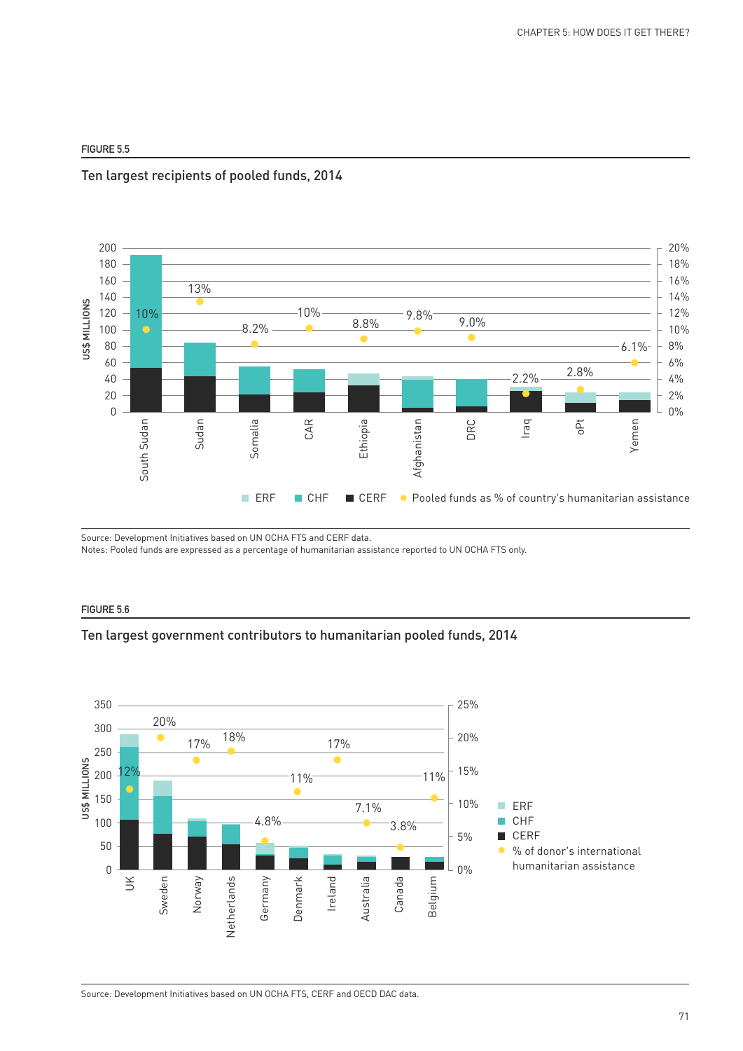#### **FIGURE 5.5**





Source: Development Initiatives based on UN OCHA FTS and CERF data.

Notes: Pooled funds are expressed as a percentage of humanitarian assistance reported to UN OCHA FTS only.

#### **FIGURE 5.6**

#### Ten largest government contributors to humanitarian pooled funds, 2014

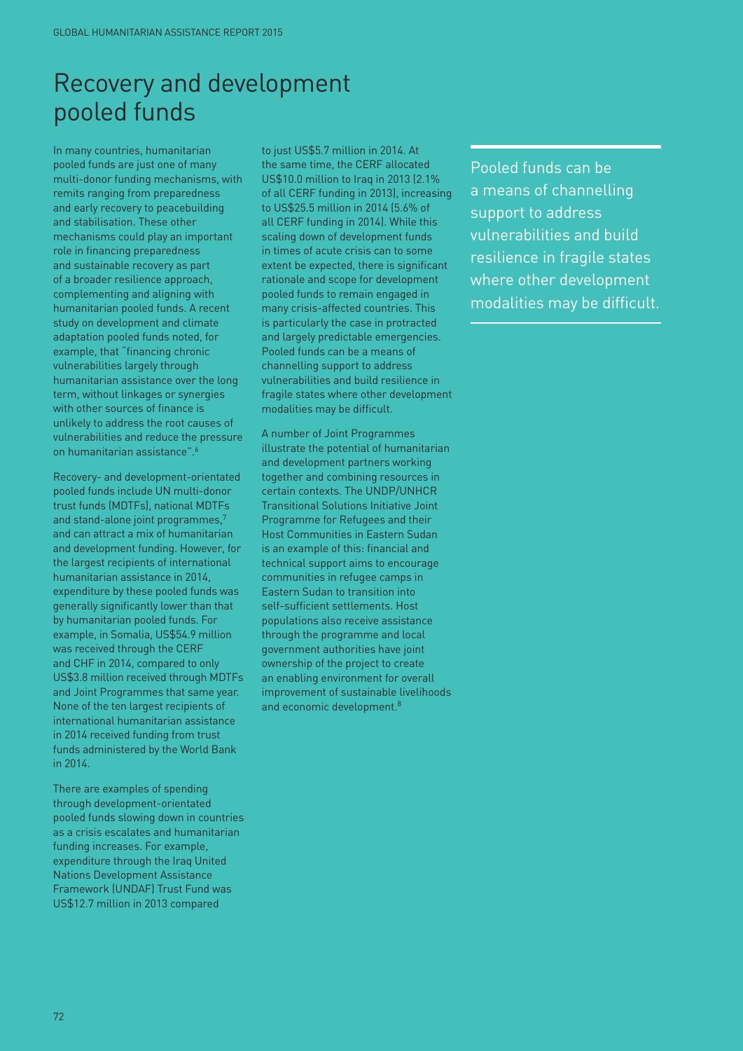## Recovery and development pooled funds

In many countries, humanitarian pooled funds are just one of many multi-donor funding mechanisms, with remits ranging from preparedness and early recovery to peacebuilding and stabilisation. These other mechanisms could play an important role in financing preparedness and sustainable recovery as part of a broader resilience approach, complementing and aligning with humanitarian pooled funds. A recent study on development and climate adaptation pooled funds noted, for example, that "financing chronic vulnerabilities largely through humanitarian assistance over the long term, without linkages or synergies with other sources of finance is unlikely to address the root causes of vulnerabilities and reduce the pressure on humanitarian assistance".6

Recovery- and development-orientated pooled funds include UN multi-donor trust funds (MDTFs), national MDTFs and stand-alone joint programmes,<sup>7</sup> and can attract a mix of humanitarian and development funding. However, for the largest recipients of international humanitarian assistance in 2014, expenditure by these pooled funds was generally significantly lower than that by humanitarian pooled funds. For example, in Somalia, US\$54.9 million was received through the CERF and CHF in 2014, compared to only US\$3.8 million received through MDTFs and Joint Programmes that same year. None of the ten largest recipients of international humanitarian assistance in 2014 received funding from trust funds administered by the World Bank in 2014.

There are examples of spending through development-orientated pooled funds slowing down in countries as a crisis escalates and humanitarian funding increases. For example, expenditure through the Iraq United Nations Development Assistance Framework (UNDAF) Trust Fund was US\$12.7 million in 2013 compared

to just US\$5.7 million in 2014. At the same time, the CERF allocated US\$10.0 million to Iraq in 2013 (2.1% of all CERF funding in 2013), increasing to US\$25.5 million in 2014 (5.6% of all CERF funding in 2014). While this scaling down of development funds in times of acute crisis can to some extent be expected, there is significant rationale and scope for development pooled funds to remain engaged in many crisis-affected countries. This is particularly the case in protracted and largely predictable emergencies. Pooled funds can be a means of channelling support to address vulnerabilities and build resilience in fragile states where other development modalities may be difficult.

A number of Joint Programmes illustrate the potential of humanitarian and development partners working together and combining resources in certain contexts. The UNDP/UNHCR Transitional Solutions Initiative Joint Programme for Refugees and their Host Communities in Eastern Sudan is an example of this: financial and technical support aims to encourage communities in refugee camps in Eastern Sudan to transition into self-sufficient settlements. Host populations also receive assistance through the programme and local government authorities have joint ownership of the project to create an enabling environment for overall improvement of sustainable livelihoods and economic development.<sup>8</sup>

Pooled funds can be a means of channelling support to address vulnerabilities and build resilience in fragile states where other development modalities may be difficult.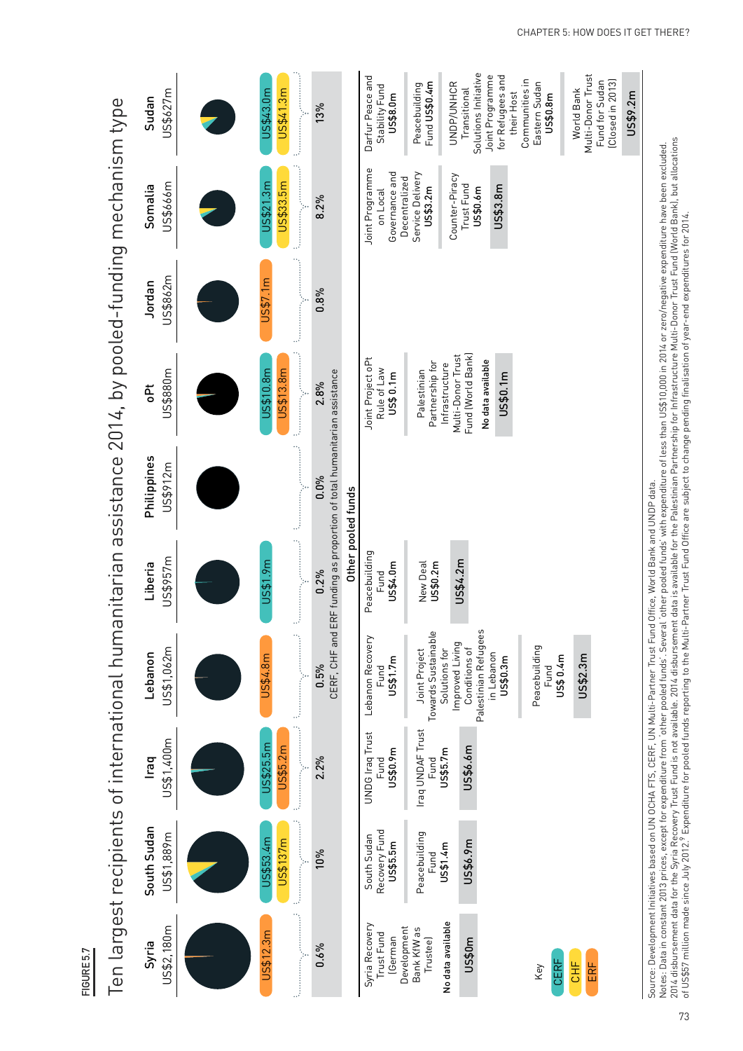| n |  |
|---|--|
|   |  |
|   |  |

Ten largest recipients of international humanitarian assistance 2014, by pooled-funding mechanism type Ten largest recipients of international humanitarian assistance 2014, by pooled-funding mechanism type

| US\$627m<br>Sudan         | US\$41.3m<br>US\$43.0m<br><u>in manala</u>                                                                                                      | 13%                                                                              | Solutions Initiative<br>Darfur Peace and<br>Joint Programme<br>for Refugees and<br>Multi-Donor Trust<br>Communities in<br>Fund for Sudan<br>[Closed in 2013]<br>Fund US\$0.4m<br>UNDP/UNHCR<br>Eastern Sudan<br>Peacebuilding<br>Stability Fund<br>World Bank<br>Transitional<br>their Host<br>US\$9.2m<br>US\$0.8m<br>US\$8.0m |
|---------------------------|-------------------------------------------------------------------------------------------------------------------------------------------------|----------------------------------------------------------------------------------|---------------------------------------------------------------------------------------------------------------------------------------------------------------------------------------------------------------------------------------------------------------------------------------------------------------------------------|
| US\$666m<br>Somalia       | US\$33.5m<br>1.3 <sub>m</sub><br><u>in manala</u><br>US\$21                                                                                     | 8.2%                                                                             | Joint Programme<br>Governance and<br>Service Delivery<br>Counter-Piracy<br>Decentralized<br>Trust Fund<br>US\$3.8m<br>US\$3.2m<br>US\$0.6m<br>on Local                                                                                                                                                                          |
| US\$862m<br>Jordan        | US\$7.1m                                                                                                                                        | 0.8%                                                                             |                                                                                                                                                                                                                                                                                                                                 |
| US\$880m<br><b>Pt</b>     | <u> 1999 - January Albert III, politik artistik politik artistik politik artistik politik artistik politik artist</u><br>US\$13.8m<br>JS\$10.8m | 2.8%                                                                             | Fund (World Bank)<br>Multi-Donor Trust<br>Joint Project oPt<br>No data available<br>Partnership for<br>Infrastructure<br>Rule of Law<br>Palestinian<br>US\$ 0.1m<br>US\$0.1m                                                                                                                                                    |
| Philippines<br>US\$912m   |                                                                                                                                                 | CERF, CHF and ERF funding as proportion of total humanitarian assistance<br>0.0% | Other pooled funds                                                                                                                                                                                                                                                                                                              |
| US\$957m<br>Liberia       | <u>i</u><br>US\$1.9m<br>4                                                                                                                       | 0.2%                                                                             | Peacebuilding<br>US\$4.2m<br>New Deal<br>US\$0.2m<br>US\$4.0m<br>Fund                                                                                                                                                                                                                                                           |
| US\$1,062m<br>Lebanon     | US\$4.8m                                                                                                                                        | 0.5%                                                                             | Palestinian Refugees<br>Towards Sustainable<br>Lebanon Recovery<br>Improved Living<br>Peacebuilding<br>Conditions of<br>Joint Project<br>Solutions for<br>in Lebanon<br>US\$2.3m<br>US\$ 0.4m<br>US\$0.3m<br>US\$1.7m<br>Fund<br>Fund                                                                                           |
| US\$1,400m<br><b>Iraq</b> | JS\$25.5m<br>US\$5.2m                                                                                                                           | 2.2%                                                                             | Iraq UNDAF Trust<br><b>UNDG Iraq Trust</b><br>US\$6.6m<br>US\$5.7m<br>US\$0.9m<br>Fund<br>Fund                                                                                                                                                                                                                                  |
| South Sudan<br>US\$1,889m | US\$53.4m<br>US\$137m                                                                                                                           | 10%                                                                              | Recovery Fund<br>Peacebuilding<br>South Sudan<br>US\$6.9m<br>US\$5.5m<br>US\$1.4m<br>Fund                                                                                                                                                                                                                                       |
| US\$2,180m<br>Syria       | US\$12.3m                                                                                                                                       | 0.6%                                                                             | No data available<br>Syria Recovery<br>Development<br>Bank KfW as<br>Trust Fund<br>(German<br>US\$0 <sub>m</sub><br>Trustee)<br>CERF<br>ËЕ<br>ERF<br>Key                                                                                                                                                                        |

Notes: Data in constant 2013 prices, except for expenditure from 'other pooled funds'. Several 'other pooled funds' with expenditure of less than US\$10,000 in 2014 or zero/negative expenditure have been excluded.<br>2014 disb 2014 disbursement data for the Syria Recovery Trust Fund is not available. 2014 disbursement data is available for the Palestinian Partnership for Infrastructure Multi-Donor Trust Fund (World Bank), but allocations Notes: Data in constant 2013 prices, except for expenditure from 'other pooled funds'. Several 'other pooled funds' with expenditure of less than US\$10,000 in 2014 or zero/negative expenditure have been excluded. Source: Development Initiatives based on UN OCHA FTS, CERF, UN Multi-Partner Trust Fund Office, World Bank and UNDP data. Source: Development Initiatives based on UN OCHA FTS, CERF, UN Multi-Partner Trust Fund Office, World Bank and UNDP data.

of US\$57 million made since July 2012.9 Expenditure for pooled funds reporting to the Multi-Partner Trust Fund Office are subject to change pending finalisation of year-end expenditures for 2014.

of US\$57 million made since July 2012.<sup>9</sup> Expenditure for pooled funds reporting to the Multi-Partner Trust Fund Office are subject to change pending finalisation of year-end expenditures for 2014.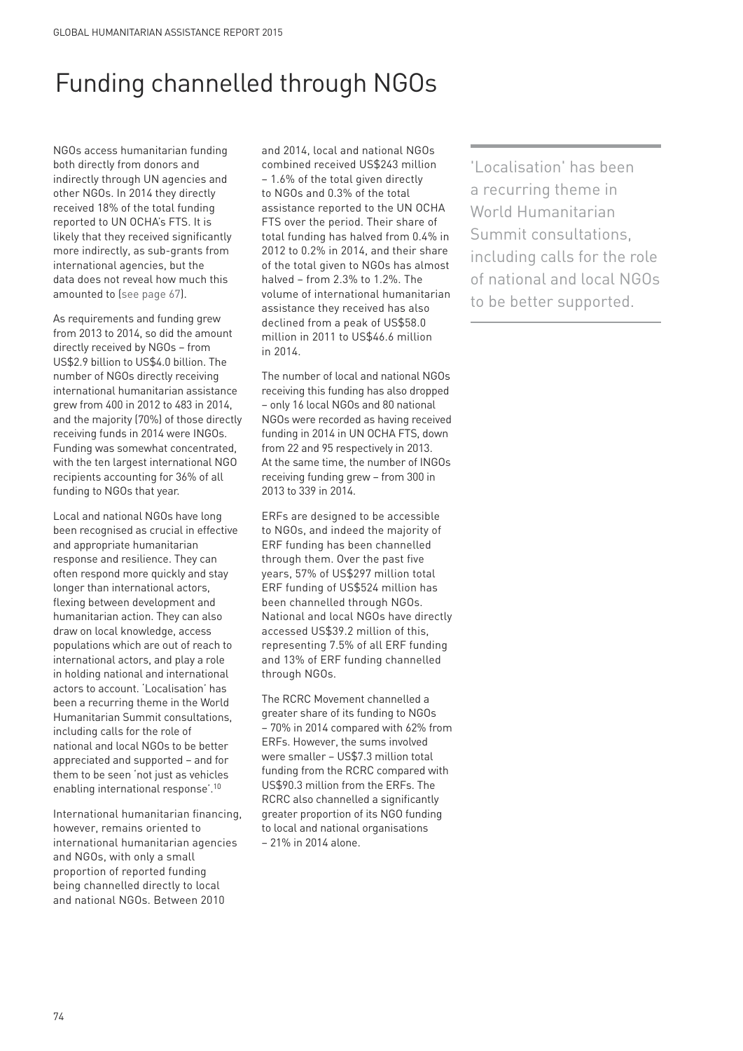# Funding channelled through NGOs

NGOs access humanitarian funding both directly from donors and indirectly through UN agencies and other NGOs. In 2014 they directly received 18% of the total funding reported to UN OCHA's FTS. It is likely that they received significantly more indirectly, as sub-grants from international agencies, but the data does not reveal how much this amounted to (see page 67).

As requirements and funding grew from 2013 to 2014, so did the amount directly received by NGOs – from US\$2.9 billion to US\$4.0 billion. The number of NGOs directly receiving international humanitarian assistance grew from 400 in 2012 to 483 in 2014, and the majority (70%) of those directly receiving funds in 2014 were INGOs. Funding was somewhat concentrated, with the ten largest international NGO recipients accounting for 36% of all funding to NGOs that year.

Local and national NGOs have long been recognised as crucial in effective and appropriate humanitarian response and resilience. They can often respond more quickly and stay longer than international actors, flexing between development and humanitarian action. They can also draw on local knowledge, access populations which are out of reach to international actors, and play a role in holding national and international actors to account. 'Localisation' has been a recurring theme in the World Humanitarian Summit consultations, including calls for the role of national and local NGOs to be better appreciated and supported – and for them to be seen 'not just as vehicles enabling international response'.10

International humanitarian financing, however, remains oriented to international humanitarian agencies and NGOs, with only a small proportion of reported funding being channelled directly to local and national NGOs. Between 2010

and 2014, local and national NGOs combined received US\$243 million – 1.6% of the total given directly to NGOs and 0.3% of the total assistance reported to the UN OCHA FTS over the period. Their share of total funding has halved from 0.4% in 2012 to 0.2% in 2014, and their share of the total given to NGOs has almost halved – from 2.3% to 1.2%. The volume of international humanitarian assistance they received has also declined from a peak of US\$58.0 million in 2011 to US\$46.6 million in 2014.

The number of local and national NGOs receiving this funding has also dropped – only 16 local NGOs and 80 national NGOs were recorded as having received funding in 2014 in UN OCHA FTS, down from 22 and 95 respectively in 2013. At the same time, the number of INGOs receiving funding grew – from 300 in 2013 to 339 in 2014.

ERFs are designed to be accessible to NGOs, and indeed the majority of ERF funding has been channelled through them. Over the past five years, 57% of US\$297 million total ERF funding of US\$524 million has been channelled through NGOs. National and local NGOs have directly accessed US\$39.2 million of this, representing 7.5% of all ERF funding and 13% of ERF funding channelled through NGOs.

The RCRC Movement channelled a greater share of its funding to NGOs – 70% in 2014 compared with 62% from ERFs. However, the sums involved were smaller – US\$7.3 million total funding from the RCRC compared with US\$90.3 million from the ERFs. The RCRC also channelled a significantly greater proportion of its NGO funding to local and national organisations – 21% in 2014 alone.

'Localisation' has been a recurring theme in World Humanitarian Summit consultations, including calls for the role of national and local NGOs to be better supported.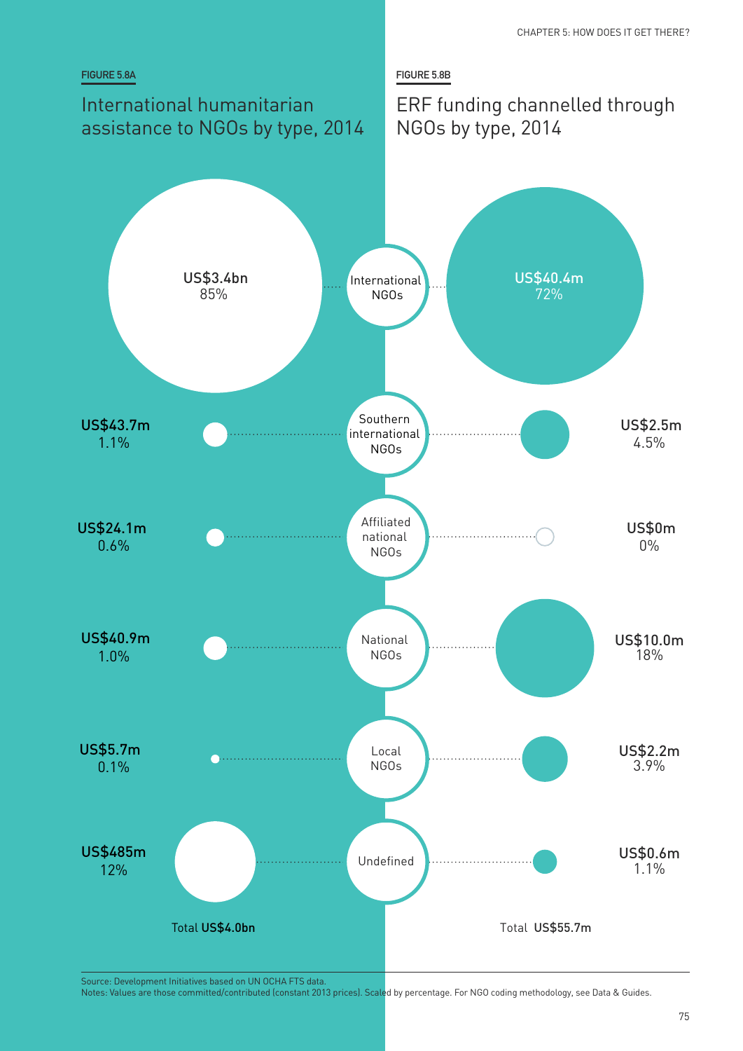

Source: Development Initiatives based on UN OCHA FTS data.

Notes: Values are those committed/contributed (constant 2013 prices). Scaled by percentage. For NGO coding methodology, see Data & Guides.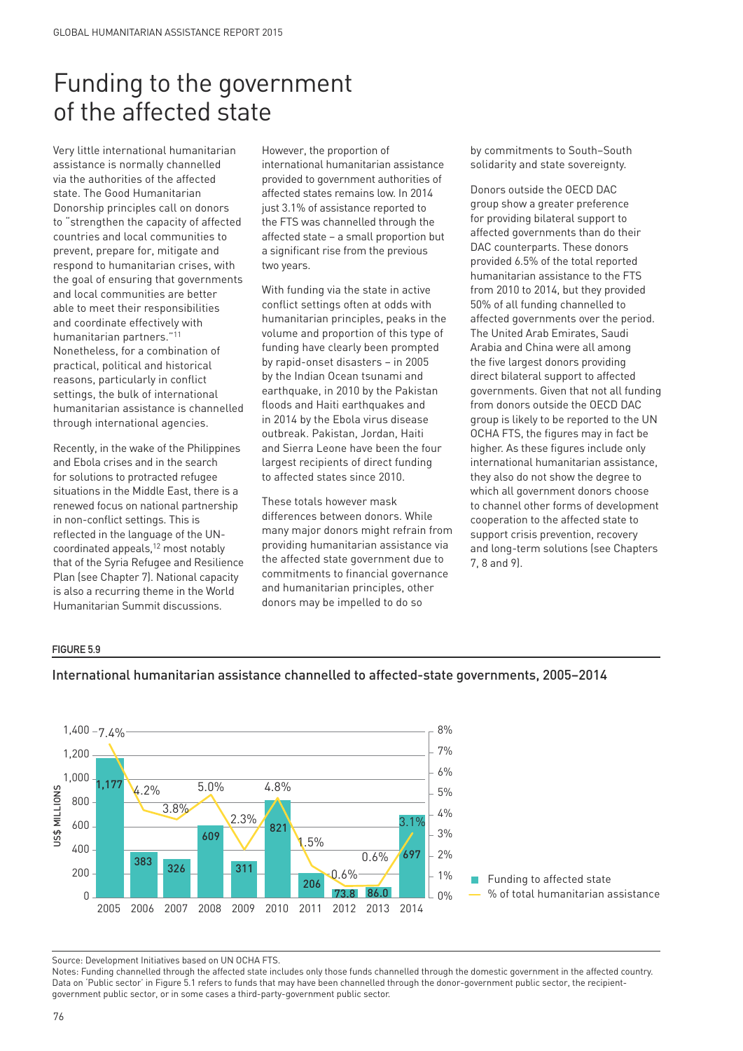## Funding to the government of the affected state

Very little international humanitarian assistance is normally channelled via the authorities of the affected state. The Good Humanitarian Donorship principles call on donors to "strengthen the capacity of affected countries and local communities to prevent, prepare for, mitigate and respond to humanitarian crises, with the goal of ensuring that governments and local communities are better able to meet their responsibilities and coordinate effectively with humanitarian partners."<sup>1</sup> Nonetheless, for a combination of practical, political and historical reasons, particularly in conflict settings, the bulk of international humanitarian assistance is channelled through international agencies.

Recently, in the wake of the Philippines and Ebola crises and in the search for solutions to protracted refugee situations in the Middle East, there is a renewed focus on national partnership in non-conflict settings. This is reflected in the language of the UNcoordinated appeals,<sup>12</sup> most notably that of the Syria Refugee and Resilience Plan (see Chapter 7). National capacity is also a recurring theme in the World Humanitarian Summit discussions.

However, the proportion of international humanitarian assistance provided to government authorities of affected states remains low. In 2014 just 3.1% of assistance reported to the FTS was channelled through the affected state – a small proportion but a significant rise from the previous two years.

With funding via the state in active conflict settings often at odds with humanitarian principles, peaks in the volume and proportion of this type of funding have clearly been prompted by rapid-onset disasters – in 2005 by the Indian Ocean tsunami and earthquake, in 2010 by the Pakistan floods and Haiti earthquakes and in 2014 by the Ebola virus disease outbreak. Pakistan, Jordan, Haiti and Sierra Leone have been the four largest recipients of direct funding to affected states since 2010.

These totals however mask differences between donors. While many major donors might refrain from providing humanitarian assistance via the affected state government due to commitments to financial governance and humanitarian principles, other donors may be impelled to do so

by commitments to South–South solidarity and state sovereignty.

Donors outside the OECD DAC group show a greater preference for providing bilateral support to affected governments than do their DAC counterparts. These donors provided 6.5% of the total reported humanitarian assistance to the FTS from 2010 to 2014, but they provided 50% of all funding channelled to affected governments over the period. The United Arab Emirates, Saudi Arabia and China were all among the five largest donors providing direct bilateral support to affected governments. Given that not all funding from donors outside the OECD DAC group is likely to be reported to the UN OCHA FTS, the figures may in fact be higher. As these figures include only international humanitarian assistance, they also do not show the degree to which all government donors choose to channel other forms of development cooperation to the affected state to support crisis prevention, recovery and long-term solutions (see Chapters 7, 8 and 9).

#### **FIGURE 5.9**



#### International humanitarian assistance channelled to affected-state governments, 2005–2014

Source: Development Initiatives based on UN OCHA FTS.

Notes: Funding channelled through the affected state includes only those funds channelled through the domestic government in the affected country. Data on 'Public sector' in Figure 5.1 refers to funds that may have been channelled through the donor-government public sector, the recipient-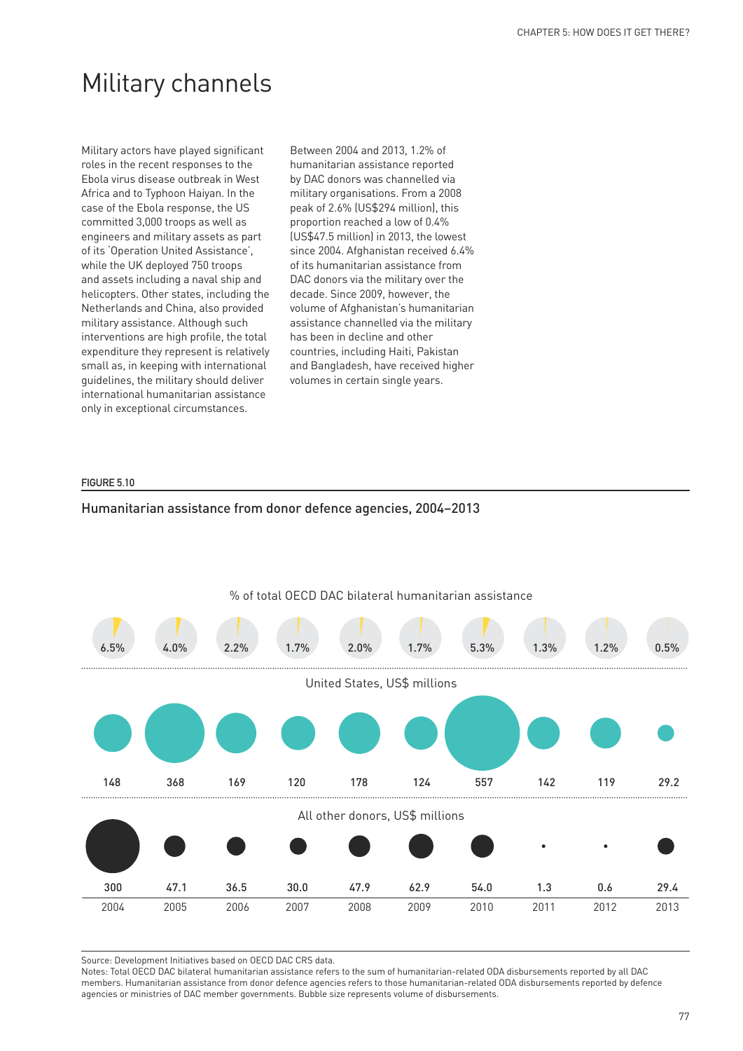## Military channels

Military actors have played significant roles in the recent responses to the Ebola virus disease outbreak in West Africa and to Typhoon Haiyan. In the case of the Ebola response, the US committed 3,000 troops as well as engineers and military assets as part of its 'Operation United Assistance', while the UK deployed 750 troops and assets including a naval ship and helicopters. Other states, including the Netherlands and China, also provided military assistance. Although such interventions are high profile, the total expenditure they represent is relatively small as, in keeping with international guidelines, the military should deliver international humanitarian assistance only in exceptional circumstances.

Between 2004 and 2013, 1.2% of humanitarian assistance reported by DAC donors was channelled via military organisations. From a 2008 peak of 2.6% (US\$294 million), this proportion reached a low of 0.4% (US\$47.5 million) in 2013, the lowest since 2004. Afghanistan received 6.4% of its humanitarian assistance from DAC donors via the military over the decade. Since 2009, however, the volume of Afghanistan's humanitarian assistance channelled via the military has been in decline and other countries, including Haiti, Pakistan and Bangladesh, have received higher volumes in certain single years.

#### **FIGURE 5.10**





Source: Development Initiatives based on OECD DAC CRS data.

Notes: Total OECD DAC bilateral humanitarian assistance refers to the sum of humanitarian-related ODA disbursements reported by all DAC members. Humanitarian assistance from donor defence agencies refers to those humanitarian-related ODA disbursements reported by defence agencies or ministries of DAC member governments. Bubble size represents volume of disbursements.